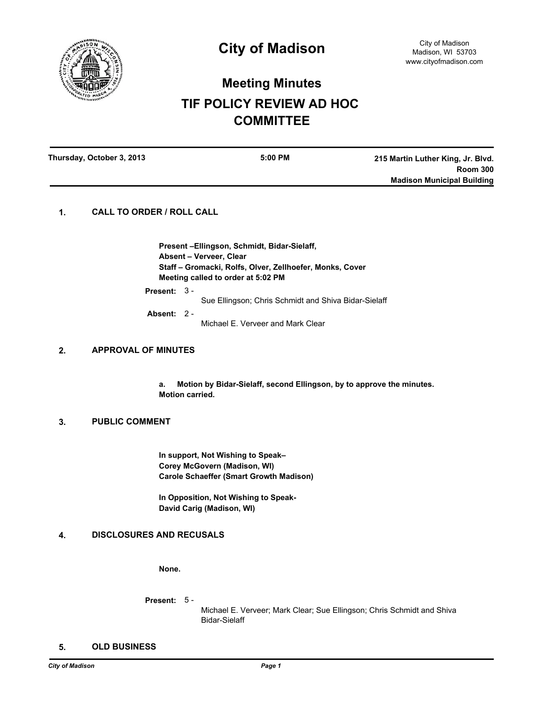

# **Meeting Minutes TIF POLICY REVIEW AD HOC COMMITTEE**

| Thursday, October 3, 2013 | 5:00 PM | 215 Martin Luther King, Jr. Blvd. |
|---------------------------|---------|-----------------------------------|
|                           |         | <b>Room 300</b>                   |
|                           |         | <b>Madison Municipal Building</b> |
|                           |         |                                   |

# **1. CALL TO ORDER / ROLL CALL**

**Present –Ellingson, Schmidt, Bidar-Sielaff, Absent – Verveer, Clear Staff – Gromacki, Rolfs, Olver, Zellhoefer, Monks, Cover Meeting called to order at 5:02 PM**

**Present:** 3 -

Sue Ellingson; Chris Schmidt and Shiva Bidar-Sielaff

**Absent:** 2 -

Michael E. Verveer and Mark Clear

#### **2. APPROVAL OF MINUTES**

**a. Motion by Bidar-Sielaff, second Ellingson, by to approve the minutes. Motion carried.**

# **3. PUBLIC COMMENT**

**In support, Not Wishing to Speak– Corey McGovern (Madison, WI) Carole Schaeffer (Smart Growth Madison)**

**In Opposition, Not Wishing to Speak-David Carig (Madison, WI)**

# **4. DISCLOSURES AND RECUSALS**

**None.**

**Present:** 5 -

Michael E. Verveer; Mark Clear; Sue Ellingson; Chris Schmidt and Shiva Bidar-Sielaff

### **5. OLD BUSINESS**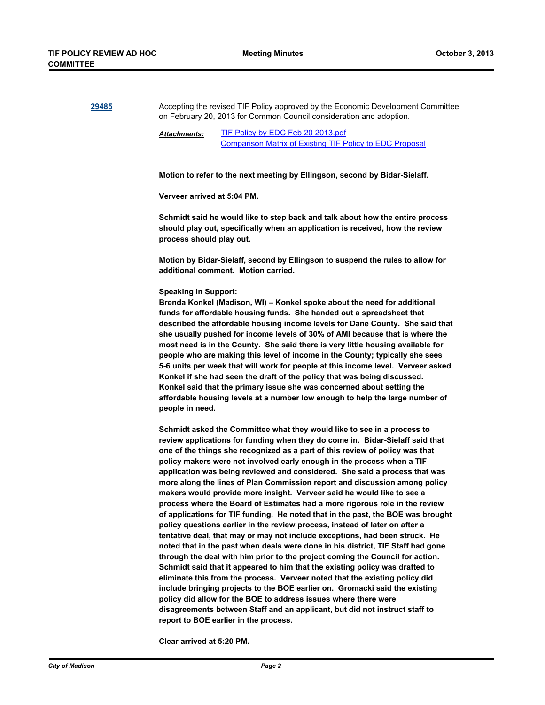**[29485](http://madison.legistar.com/gateway.aspx?m=l&id=/matter.aspx?key=32331)** Accepting the revised TIF Policy approved by the Economic Development Committee on February 20, 2013 for Common Council consideration and adoption. [TIF Policy by EDC Feb 20 2013.pdf](http://madison.legistar.com/gateway.aspx?M=F&ID=dbc3830e-0a60-4c90-8427-7ace027a339f.pdf) [Comparison Matrix of Existing TIF Policy to EDC Proposal](http://madison.legistar.com/LegislationDetail.aspx?ID=1452413&GUID=5FE6CDB3-394A-42E9-96B7-3B4D5F932C70&Options=ID|Text|&Search=30799) *Attachments:* **Motion to refer to the next meeting by Ellingson, second by Bidar-Sielaff. Verveer arrived at 5:04 PM. Schmidt said he would like to step back and talk about how the entire process should play out, specifically when an application is received, how the review process should play out. Motion by Bidar-Sielaff, second by Ellingson to suspend the rules to allow for additional comment. Motion carried. Speaking In Support: Brenda Konkel (Madison, WI) – Konkel spoke about the need for additional funds for affordable housing funds. She handed out a spreadsheet that described the affordable housing income levels for Dane County. She said that she usually pushed for income levels of 30% of AMI because that is where the most need is in the County. She said there is very little housing available for people who are making this level of income in the County; typically she sees 5-6 units per week that will work for people at this income level. Verveer asked Konkel if she had seen the draft of the policy that was being discussed. Konkel said that the primary issue she was concerned about setting the affordable housing levels at a number low enough to help the large number of people in need. Schmidt asked the Committee what they would like to see in a process to review applications for funding when they do come in. Bidar-Sielaff said that one of the things she recognized as a part of this review of policy was that policy makers were not involved early enough in the process when a TIF application was being reviewed and considered. She said a process that was more along the lines of Plan Commission report and discussion among policy makers would provide more insight. Verveer said he would like to see a process where the Board of Estimates had a more rigorous role in the review of applications for TIF funding. He noted that in the past, the BOE was brought policy questions earlier in the review process, instead of later on after a tentative deal, that may or may not include exceptions, had been struck. He noted that in the past when deals were done in his district, TIF Staff had gone through the deal with him prior to the project coming the Council for action. Schmidt said that it appeared to him that the existing policy was drafted to eliminate this from the process. Verveer noted that the existing policy did include bringing projects to the BOE earlier on. Gromacki said the existing policy did allow for the BOE to address issues where there were disagreements between Staff and an applicant, but did not instruct staff to** 

**Clear arrived at 5:20 PM.**

**report to BOE earlier in the process.**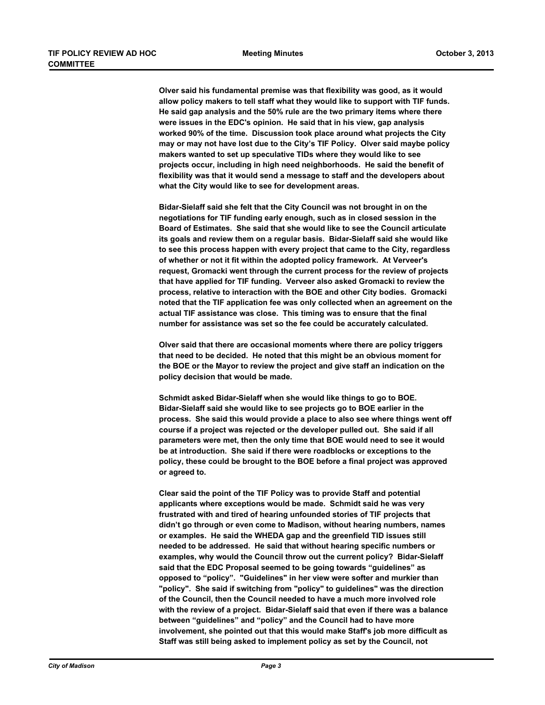**Olver said his fundamental premise was that flexibility was good, as it would allow policy makers to tell staff what they would like to support with TIF funds. He said gap analysis and the 50% rule are the two primary items where there were issues in the EDC's opinion. He said that in his view, gap analysis worked 90% of the time. Discussion took place around what projects the City may or may not have lost due to the City's TIF Policy. Olver said maybe policy makers wanted to set up speculative TIDs where they would like to see projects occur, including in high need neighborhoods. He said the benefit of flexibility was that it would send a message to staff and the developers about what the City would like to see for development areas.** 

**Bidar-Sielaff said she felt that the City Council was not brought in on the negotiations for TIF funding early enough, such as in closed session in the Board of Estimates. She said that she would like to see the Council articulate its goals and review them on a regular basis. Bidar-Sielaff said she would like to see this process happen with every project that came to the City, regardless of whether or not it fit within the adopted policy framework. At Verveer's request, Gromacki went through the current process for the review of projects that have applied for TIF funding. Verveer also asked Gromacki to review the process, relative to interaction with the BOE and other City bodies. Gromacki noted that the TIF application fee was only collected when an agreement on the actual TIF assistance was close. This timing was to ensure that the final number for assistance was set so the fee could be accurately calculated.** 

**Olver said that there are occasional moments where there are policy triggers that need to be decided. He noted that this might be an obvious moment for the BOE or the Mayor to review the project and give staff an indication on the policy decision that would be made.** 

**Schmidt asked Bidar-Sielaff when she would like things to go to BOE. Bidar-Sielaff said she would like to see projects go to BOE earlier in the process. She said this would provide a place to also see where things went off course if a project was rejected or the developer pulled out. She said if all parameters were met, then the only time that BOE would need to see it would be at introduction. She said if there were roadblocks or exceptions to the policy, these could be brought to the BOE before a final project was approved or agreed to.** 

**Clear said the point of the TIF Policy was to provide Staff and potential applicants where exceptions would be made. Schmidt said he was very frustrated with and tired of hearing unfounded stories of TIF projects that didn't go through or even come to Madison, without hearing numbers, names or examples. He said the WHEDA gap and the greenfield TID issues still needed to be addressed. He said that without hearing specific numbers or examples, why would the Council throw out the current policy? Bidar-Sielaff said that the EDC Proposal seemed to be going towards "guidelines" as opposed to "policy". "Guidelines" in her view were softer and murkier than "policy". She said if switching from "policy" to guidelines" was the direction of the Council, then the Council needed to have a much more involved role with the review of a project. Bidar-Sielaff said that even if there was a balance between "guidelines" and "policy" and the Council had to have more involvement, she pointed out that this would make Staff's job more difficult as Staff was still being asked to implement policy as set by the Council, not**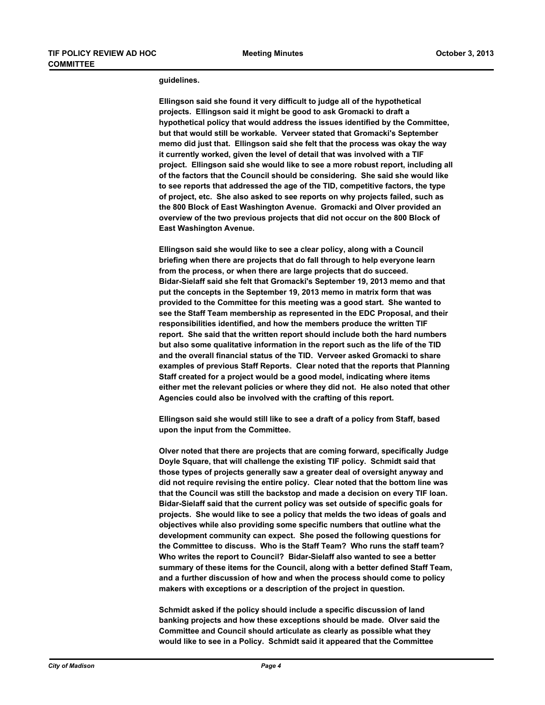#### **guidelines.**

**Ellingson said she found it very difficult to judge all of the hypothetical projects. Ellingson said it might be good to ask Gromacki to draft a hypothetical policy that would address the issues identified by the Committee, but that would still be workable. Verveer stated that Gromacki's September memo did just that. Ellingson said she felt that the process was okay the way it currently worked, given the level of detail that was involved with a TIF project. Ellingson said she would like to see a more robust report, including all of the factors that the Council should be considering. She said she would like to see reports that addressed the age of the TID, competitive factors, the type of project, etc. She also asked to see reports on why projects failed, such as the 800 Block of East Washington Avenue. Gromacki and Olver provided an overview of the two previous projects that did not occur on the 800 Block of East Washington Avenue.** 

**Ellingson said she would like to see a clear policy, along with a Council briefing when there are projects that do fall through to help everyone learn from the process, or when there are large projects that do succeed. Bidar-Sielaff said she felt that Gromacki's September 19, 2013 memo and that put the concepts in the September 19, 2013 memo in matrix form that was provided to the Committee for this meeting was a good start. She wanted to see the Staff Team membership as represented in the EDC Proposal, and their responsibilities identified, and how the members produce the written TIF report. She said that the written report should include both the hard numbers but also some qualitative information in the report such as the life of the TID and the overall financial status of the TID. Verveer asked Gromacki to share examples of previous Staff Reports. Clear noted that the reports that Planning Staff created for a project would be a good model, indicating where items either met the relevant policies or where they did not. He also noted that other Agencies could also be involved with the crafting of this report.**

**Ellingson said she would still like to see a draft of a policy from Staff, based upon the input from the Committee.** 

**Olver noted that there are projects that are coming forward, specifically Judge Doyle Square, that will challenge the existing TIF policy. Schmidt said that those types of projects generally saw a greater deal of oversight anyway and did not require revising the entire policy. Clear noted that the bottom line was that the Council was still the backstop and made a decision on every TIF loan. Bidar-Sielaff said that the current policy was set outside of specific goals for projects. She would like to see a policy that melds the two ideas of goals and objectives while also providing some specific numbers that outline what the development community can expect. She posed the following questions for the Committee to discuss. Who is the Staff Team? Who runs the staff team? Who writes the report to Council? Bidar-Sielaff also wanted to see a better summary of these items for the Council, along with a better defined Staff Team, and a further discussion of how and when the process should come to policy makers with exceptions or a description of the project in question.** 

**Schmidt asked if the policy should include a specific discussion of land banking projects and how these exceptions should be made. Olver said the Committee and Council should articulate as clearly as possible what they would like to see in a Policy. Schmidt said it appeared that the Committee**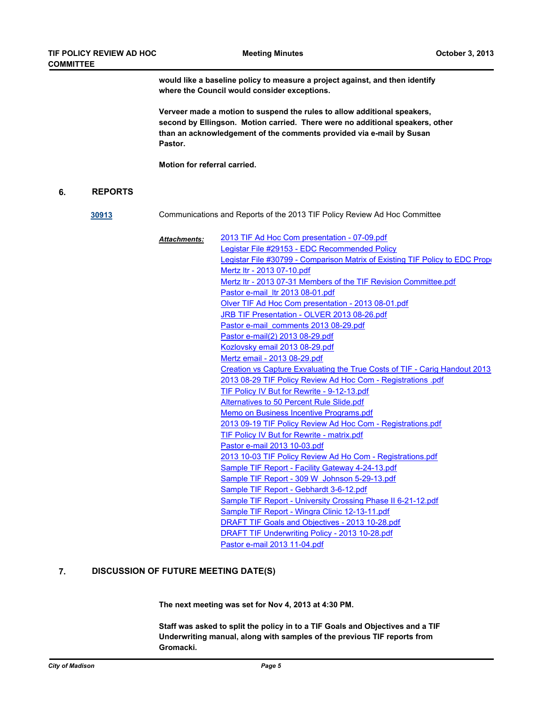**would like a baseline policy to measure a project against, and then identify where the Council would consider exceptions.** 

**Verveer made a motion to suspend the rules to allow additional speakers, second by Ellingson. Motion carried. There were no additional speakers, other than an acknowledgement of the comments provided via e-mail by Susan Pastor.** 

**Motion for referral carried.**

### **6. REPORTS**

**[30913](http://madison.legistar.com/gateway.aspx?m=l&id=/matter.aspx?key=33839)** Communications and Reports of the 2013 TIF Policy Review Ad Hoc Committee

| <b>Attachments:</b> | 2013 TIF Ad Hoc Com presentation - 07-09.pdf                                 |
|---------------------|------------------------------------------------------------------------------|
|                     | Legistar File #29153 - EDC Recommended Policy                                |
|                     | Legistar File #30799 - Comparison Matrix of Existing TIF Policy to EDC Prope |
|                     | Mertz Itr - 2013 07-10.pdf                                                   |
|                     | Mertz Itr - 2013 07-31 Members of the TIF Revision Committee.pdf             |
|                     | Pastor e-mail Itr 2013 08-01.pdf                                             |
|                     | Olver TIF Ad Hoc Com presentation - 2013 08-01.pdf                           |
|                     | JRB TIF Presentation - OLVER 2013 08-26.pdf                                  |
|                     | Pastor e-mail comments 2013 08-29.pdf                                        |
|                     | Pastor e-mail(2) 2013 08-29.pdf                                              |
|                     | Kozlovsky email 2013 08-29.pdf                                               |
|                     | Mertz email - 2013 08-29.pdf                                                 |
|                     | Creation vs Capture Exvaluating the True Costs of TIF - Carig Handout 2013   |
|                     | 2013 08-29 TIF Policy Review Ad Hoc Com - Registrations .pdf                 |
|                     | TIF Policy IV But for Rewrite - 9-12-13.pdf                                  |
|                     | Alternatives to 50 Percent Rule Slide.pdf                                    |
|                     | Memo on Business Incentive Programs.pdf                                      |
|                     | 2013 09-19 TIF Policy Review Ad Hoc Com - Registrations.pdf                  |
|                     | TIF Policy IV But for Rewrite - matrix.pdf                                   |
|                     | Pastor e-mail 2013 10-03.pdf                                                 |
|                     | 2013 10-03 TIF Policy Review Ad Ho Com - Registrations.pdf                   |
|                     | Sample TIF Report - Facility Gateway 4-24-13.pdf                             |
|                     | Sample TIF Report - 309 W Johnson 5-29-13.pdf                                |
|                     | Sample TIF Report - Gebhardt 3-6-12.pdf                                      |
|                     | Sample TIF Report - University Crossing Phase II 6-21-12.pdf                 |
|                     | Sample TIF Report - Wingra Clinic 12-13-11.pdf                               |
|                     | DRAFT TIF Goals and Objectives - 2013 10-28.pdf                              |
|                     | DRAFT TIF Underwriting Policy - 2013 10-28.pdf                               |
|                     | Pastor e-mail 2013 11-04.pdf                                                 |

#### **7. DISCUSSION OF FUTURE MEETING DATE(S)**

**The next meeting was set for Nov 4, 2013 at 4:30 PM.** 

**Staff was asked to split the policy in to a TIF Goals and Objectives and a TIF Underwriting manual, along with samples of the previous TIF reports from Gromacki.**